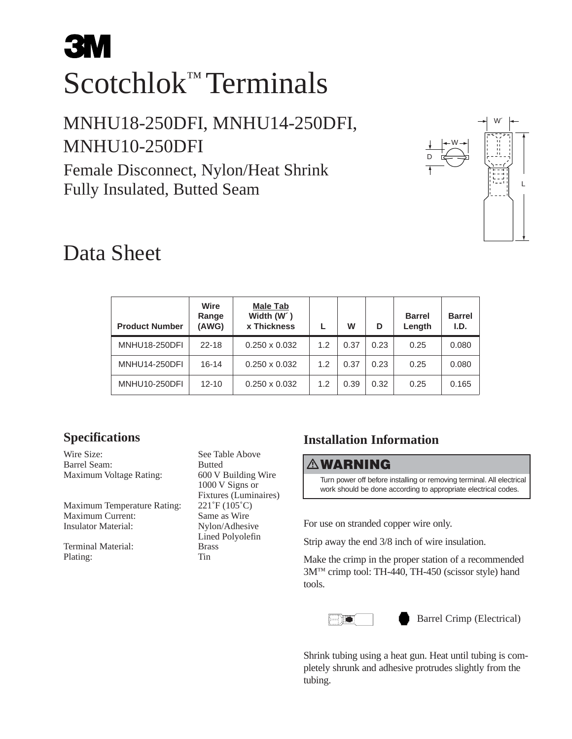# **3M** Scotchlok™ Terminals

## MNHU18-250DFI, MNHU14-250DFI, MNHU10-250DFI

Female Disconnect, Nylon/Heat Shrink Fully Insulated, Butted Seam



# Data Sheet

| <b>Product Number</b> | Wire<br>Range<br>(AWG) | <b>Male Tab</b><br>Width (W <sup>o</sup> )<br><b>x Thickness</b> |     | W    | D    | <b>Barrel</b><br>Length | <b>Barrel</b><br>I.D. |
|-----------------------|------------------------|------------------------------------------------------------------|-----|------|------|-------------------------|-----------------------|
| <b>MNHU18-250DFI</b>  | $22 - 18$              | $0.250 \times 0.032$                                             | 1.2 | 0.37 | 0.23 | 0.25                    | 0.080                 |
| <b>MNHU14-250DFI</b>  | $16 - 14$              | $0.250 \times 0.032$                                             | 1.2 | 0.37 | 0.23 | 0.25                    | 0.080                 |
| <b>MNHU10-250DFI</b>  | $12 - 10$              | $0.250 \times 0.032$                                             | 1.2 | 0.39 | 0.32 | 0.25                    | 0.165                 |

### **Specifications**

Wire Size: See Table Above Barrel Seam: Butted Maximum Voltage Rating: 600 V Building Wire

Maximum Temperature Rating: 221°F (105°C) Maximum Current: Same as Wire<br>
Insulator Material: Nylon/Adhesi

Terminal Material: Brass Plating: Tin

1000 V Signs or Fixtures (Luminaires) Nylon/Adhesive Lined Polyolefin

## **Installation Information**

#### **WARNING**

Turn power off before installing or removing terminal. All electrical work should be done according to appropriate electrical codes.

For use on stranded copper wire only.

Strip away the end 3/8 inch of wire insulation.

Make the crimp in the proper station of a recommended 3M™ crimp tool: TH-440, TH-450 (scissor style) hand tools.



Barrel Crimp (Electrical)

Shrink tubing using a heat gun. Heat until tubing is completely shrunk and adhesive protrudes slightly from the tubing.